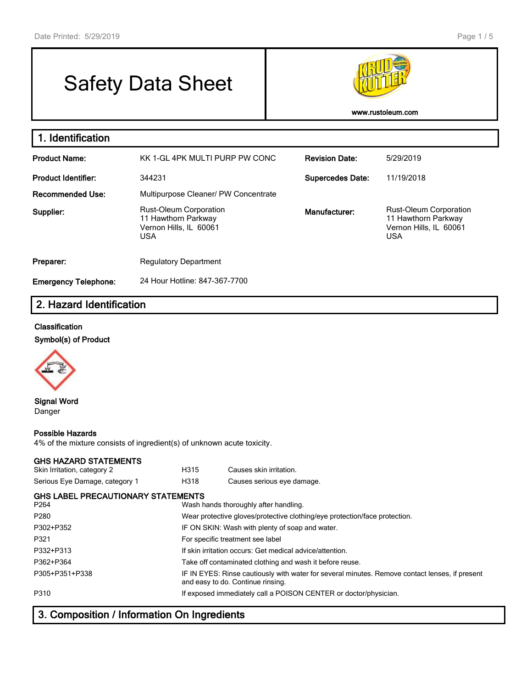# Safety Data Sheet



**www.rustoleum.com**

| 1. Identification           |                                                                                              |                         |                                                                                              |
|-----------------------------|----------------------------------------------------------------------------------------------|-------------------------|----------------------------------------------------------------------------------------------|
| <b>Product Name:</b>        | KK 1-GL 4PK MULTI PURP PW CONC                                                               | <b>Revision Date:</b>   | 5/29/2019                                                                                    |
| <b>Product Identifier:</b>  | 344231                                                                                       | <b>Supercedes Date:</b> | 11/19/2018                                                                                   |
| <b>Recommended Use:</b>     | Multipurpose Cleaner/ PW Concentrate                                                         |                         |                                                                                              |
| Supplier:                   | <b>Rust-Oleum Corporation</b><br>11 Hawthorn Parkway<br>Vernon Hills, IL 60061<br><b>USA</b> | Manufacturer:           | <b>Rust-Oleum Corporation</b><br>11 Hawthorn Parkway<br>Vernon Hills, IL 60061<br><b>USA</b> |
| Preparer:                   | <b>Regulatory Department</b>                                                                 |                         |                                                                                              |
| <b>Emergency Telephone:</b> | 24 Hour Hotline: 847-367-7700                                                                |                         |                                                                                              |

# **2. Hazard Identification**

#### **Classification**

**Symbol(s) of Product**



**Signal Word** Danger

#### **Possible Hazards**

4% of the mixture consists of ingredient(s) of unknown acute toxicity.

#### **GHS HAZARD STATEMENTS**

| Skin Irritation, category 2                       | H315                                            | Causes skin irritation.                                                                                                             |  |
|---------------------------------------------------|-------------------------------------------------|-------------------------------------------------------------------------------------------------------------------------------------|--|
| Serious Eye Damage, category 1                    | H318                                            | Causes serious eye damage.                                                                                                          |  |
| <b>GHS LABEL PRECAUTIONARY STATEMENTS</b><br>P264 |                                                 | Wash hands thoroughly after handling.                                                                                               |  |
| P <sub>280</sub>                                  |                                                 | Wear protective gloves/protective clothing/eye protection/face protection.                                                          |  |
| P302+P352                                         | IF ON SKIN: Wash with plenty of soap and water. |                                                                                                                                     |  |
| P321                                              |                                                 | For specific treatment see label                                                                                                    |  |
| P332+P313                                         |                                                 | If skin irritation occurs: Get medical advice/attention.                                                                            |  |
| P362+P364                                         |                                                 | Take off contaminated clothing and wash it before reuse.                                                                            |  |
| P305+P351+P338                                    |                                                 | IF IN EYES: Rinse cautiously with water for several minutes. Remove contact lenses, if present<br>and easy to do. Continue rinsing. |  |
| P310                                              |                                                 | If exposed immediately call a POISON CENTER or doctor/physician.                                                                    |  |

# **3. Composition / Information On Ingredients**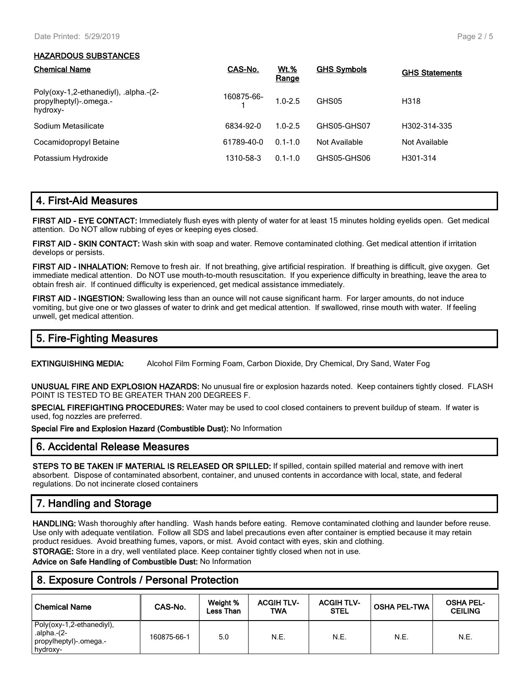#### **HAZARDOUS SUBSTANCES**

| <b>Chemical Name</b>                                                        | CAS-No.    | Wt.%<br>Range | <b>GHS Symbols</b> | <b>GHS Statements</b> |
|-----------------------------------------------------------------------------|------------|---------------|--------------------|-----------------------|
| Poly(oxy-1,2-ethanediyl), .alpha.-(2-<br>propylheptyl)-.omega.-<br>hydroxy- | 160875-66- | $1.0 - 2.5$   | GHS05              | H318                  |
| Sodium Metasilicate                                                         | 6834-92-0  | $1.0 - 2.5$   | GHS05-GHS07        | H302-314-335          |
| Cocamidopropyl Betaine                                                      | 61789-40-0 | $0.1 - 1.0$   | Not Available      | Not Available         |
| Potassium Hydroxide                                                         | 1310-58-3  | $0.1 - 1.0$   | GHS05-GHS06        | H301-314              |

# **4. First-Aid Measures**

**FIRST AID - EYE CONTACT:** Immediately flush eyes with plenty of water for at least 15 minutes holding eyelids open. Get medical attention. Do NOT allow rubbing of eyes or keeping eyes closed.

**FIRST AID - SKIN CONTACT:** Wash skin with soap and water. Remove contaminated clothing. Get medical attention if irritation develops or persists.

**FIRST AID - INHALATION:** Remove to fresh air. If not breathing, give artificial respiration. If breathing is difficult, give oxygen. Get immediate medical attention. Do NOT use mouth-to-mouth resuscitation. If you experience difficulty in breathing, leave the area to obtain fresh air. If continued difficulty is experienced, get medical assistance immediately.

**FIRST AID - INGESTION:** Swallowing less than an ounce will not cause significant harm. For larger amounts, do not induce vomiting, but give one or two glasses of water to drink and get medical attention. If swallowed, rinse mouth with water. If feeling unwell, get medical attention.

# **5. Fire-Fighting Measures**

**EXTINGUISHING MEDIA:** Alcohol Film Forming Foam, Carbon Dioxide, Dry Chemical, Dry Sand, Water Fog

**UNUSUAL FIRE AND EXPLOSION HAZARDS:** No unusual fire or explosion hazards noted. Keep containers tightly closed. FLASH POINT IS TESTED TO BE GREATER THAN 200 DEGREES F.

**SPECIAL FIREFIGHTING PROCEDURES:** Water may be used to cool closed containers to prevent buildup of steam. If water is used, fog nozzles are preferred.

**Special Fire and Explosion Hazard (Combustible Dust):** No Information

# **6. Accidental Release Measures**

**STEPS TO BE TAKEN IF MATERIAL IS RELEASED OR SPILLED:** If spilled, contain spilled material and remove with inert absorbent. Dispose of contaminated absorbent, container, and unused contents in accordance with local, state, and federal regulations. Do not incinerate closed containers

# **7. Handling and Storage**

**HANDLING:** Wash thoroughly after handling. Wash hands before eating. Remove contaminated clothing and launder before reuse. Use only with adequate ventilation. Follow all SDS and label precautions even after container is emptied because it may retain product residues. Avoid breathing fumes, vapors, or mist. Avoid contact with eyes, skin and clothing.

**STORAGE:** Store in a dry, well ventilated place. Keep container tightly closed when not in use.

**Advice on Safe Handling of Combustible Dust:** No Information

# **8. Exposure Controls / Personal Protection**

| <b>Chemical Name</b>                                                             | CAS-No.     | Weight %<br>Less Than | <b>ACGIH TLV-</b><br>TWA | <b>ACGIH TLV-</b><br><b>STEL</b> | <b>OSHA PEL-TWA</b> | <b>OSHA PEL-</b><br><b>CEILING</b> |
|----------------------------------------------------------------------------------|-------------|-----------------------|--------------------------|----------------------------------|---------------------|------------------------------------|
| Poly(oxy-1,2-ethanediyl),<br>.alpha.-(2-<br>  propylheptyl)-.omega.-<br>hydroxy- | 160875-66-1 | 5.0                   | N.E.                     | N.E.                             | N.E.                | N.E.                               |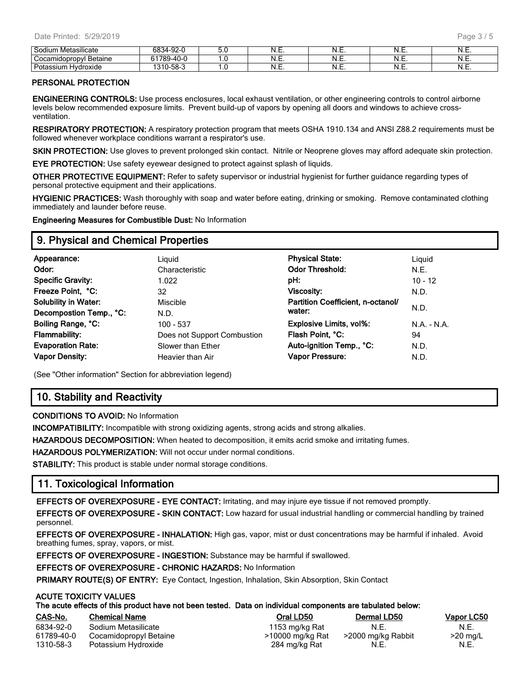| .<br>Sodiun<br>Aetasilicate<br>. Met | $\sim$ $\sim$<br><b>000</b><br>92-I | v.v               | 18<br>.∟.יי | NL<br>. | N<br>.        | ᠃  |
|--------------------------------------|-------------------------------------|-------------------|-------------|---------|---------------|----|
| `ocam<br>Betaine<br>uopropyl :       | <b>C1700</b><br>$\sim$              | $\cdot\cdot\cdot$ | ᠃           | N.E.    | N<br>.        | .  |
| Potassiu<br>droxide                  | $-\sim$<br>0.40<br>58-3             | . .               | .           | N<br>.  | N<br>$\cdots$ | …… |

#### **PERSONAL PROTECTION**

**ENGINEERING CONTROLS:** Use process enclosures, local exhaust ventilation, or other engineering controls to control airborne levels below recommended exposure limits. Prevent build-up of vapors by opening all doors and windows to achieve crossventilation.

**RESPIRATORY PROTECTION:** A respiratory protection program that meets OSHA 1910.134 and ANSI Z88.2 requirements must be followed whenever workplace conditions warrant a respirator's use.

**SKIN PROTECTION:** Use gloves to prevent prolonged skin contact. Nitrile or Neoprene gloves may afford adequate skin protection.

**EYE PROTECTION:** Use safety eyewear designed to protect against splash of liquids.

**OTHER PROTECTIVE EQUIPMENT:** Refer to safety supervisor or industrial hygienist for further guidance regarding types of personal protective equipment and their applications.

**HYGIENIC PRACTICES:** Wash thoroughly with soap and water before eating, drinking or smoking. Remove contaminated clothing immediately and launder before reuse.

**Engineering Measures for Combustible Dust:** No Information

# **9. Physical and Chemical Properties**

| Appearance:                 | Liguid                      | <b>Physical State:</b>            | Liguid     |
|-----------------------------|-----------------------------|-----------------------------------|------------|
| Odor:                       | Characteristic              | <b>Odor Threshold:</b>            | N.E.       |
| <b>Specific Gravity:</b>    | 1.022                       | pH:                               | $10 - 12$  |
| Freeze Point, °C:           | 32                          | Viscosity:                        | N.D.       |
| <b>Solubility in Water:</b> | <b>Miscible</b>             | Partition Coefficient, n-octanol/ |            |
| Decompostion Temp., °C:     | N.D.                        | water:                            | N.D.       |
| Boiling Range, °C:          | 100 - 537                   | <b>Explosive Limits, vol%:</b>    | $NA - N.A$ |
| <b>Flammability:</b>        | Does not Support Combustion | Flash Point, °C:                  | 94         |
| <b>Evaporation Rate:</b>    | Slower than Ether           | Auto-ignition Temp., °C:          | N.D.       |
| Vapor Density:              | Heavier than Air            | Vapor Pressure:                   | N.D.       |
|                             |                             |                                   |            |

(See "Other information" Section for abbreviation legend)

# **10. Stability and Reactivity**

#### **CONDITIONS TO AVOID:** No Information

**INCOMPATIBILITY:** Incompatible with strong oxidizing agents, strong acids and strong alkalies.

**HAZARDOUS DECOMPOSITION:** When heated to decomposition, it emits acrid smoke and irritating fumes.

**HAZARDOUS POLYMERIZATION:** Will not occur under normal conditions.

**STABILITY:** This product is stable under normal storage conditions.

# **11. Toxicological Information**

**EFFECTS OF OVEREXPOSURE - EYE CONTACT:** Irritating, and may injure eye tissue if not removed promptly.

**EFFECTS OF OVEREXPOSURE - SKIN CONTACT:** Low hazard for usual industrial handling or commercial handling by trained personnel.

**EFFECTS OF OVEREXPOSURE - INHALATION:** High gas, vapor, mist or dust concentrations may be harmful if inhaled. Avoid breathing fumes, spray, vapors, or mist.

**EFFECTS OF OVEREXPOSURE - INGESTION:** Substance may be harmful if swallowed.

**EFFECTS OF OVEREXPOSURE - CHRONIC HAZARDS:** No Information

**PRIMARY ROUTE(S) OF ENTRY:** Eye Contact, Ingestion, Inhalation, Skin Absorption, Skin Contact

#### **ACUTE TOXICITY VALUES**

| CAS-No.    | <b>Chemical Name</b>   | Oral LD50        | Dermal LD50        | Vapor LC50 |
|------------|------------------------|------------------|--------------------|------------|
| 6834-92-0  | Sodium Metasilicate    | 1153 mg/kg Rat   | N.E.               | N.E.       |
| 61789-40-0 | Cocamidopropyl Betaine | >10000 mg/kg Rat | >2000 mg/kg Rabbit | $>20$ mg/L |
| 1310-58-3  | Potassium Hydroxide    | 284 mg/kg Rat    | N.E.               | N.E.       |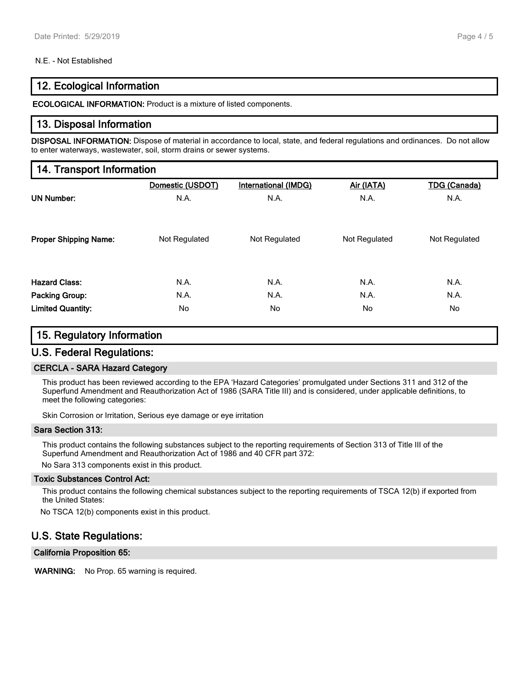#### N.E. - Not Established

# **12. Ecological Information**

**ECOLOGICAL INFORMATION:** Product is a mixture of listed components.

### **13. Disposal Information**

**DISPOSAL INFORMATION:** Dispose of material in accordance to local, state, and federal regulations and ordinances. Do not allow to enter waterways, wastewater, soil, storm drains or sewer systems.

### **14. Transport Information**

|                              | Domestic (USDOT) | <b>International (IMDG)</b> | Air (IATA)    | <b>TDG (Canada)</b> |
|------------------------------|------------------|-----------------------------|---------------|---------------------|
| <b>UN Number:</b>            | N.A.             | N.A.                        | N.A.          | N.A.                |
|                              |                  |                             |               |                     |
| <b>Proper Shipping Name:</b> | Not Regulated    | Not Regulated               | Not Regulated | Not Regulated       |
|                              |                  |                             |               |                     |
| <b>Hazard Class:</b>         | N.A.             | N.A.                        | N.A.          | N.A.                |
| <b>Packing Group:</b>        | N.A.             | N.A.                        | N.A.          | N.A.                |
| <b>Limited Quantity:</b>     | No               | No.                         | No            | No                  |

# **15. Regulatory Information U.S. Federal Regulations:**

# **CERCLA - SARA Hazard Category**

This product has been reviewed according to the EPA 'Hazard Categories' promulgated under Sections 311 and 312 of the Superfund Amendment and Reauthorization Act of 1986 (SARA Title III) and is considered, under applicable definitions, to meet the following categories:

Skin Corrosion or Irritation, Serious eye damage or eye irritation

#### **Sara Section 313:**

This product contains the following substances subject to the reporting requirements of Section 313 of Title III of the Superfund Amendment and Reauthorization Act of 1986 and 40 CFR part 372:

No Sara 313 components exist in this product.

#### **Toxic Substances Control Act:**

This product contains the following chemical substances subject to the reporting requirements of TSCA 12(b) if exported from the United States:

No TSCA 12(b) components exist in this product.

# **U.S. State Regulations:**

**California Proposition 65:**

**WARNING:** No Prop. 65 warning is required.